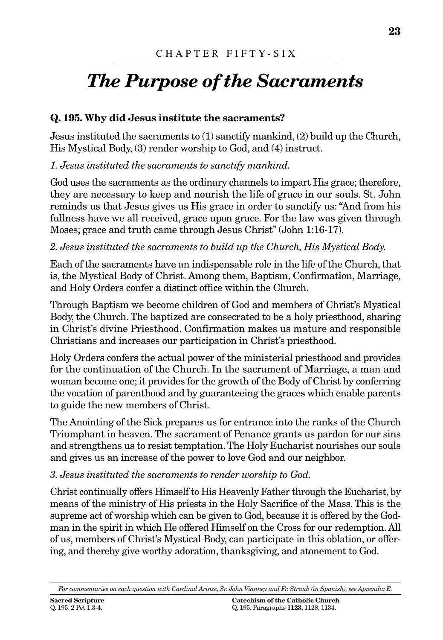# *The Purpose of the Sacraments*

# **Q. 195. Why did Jesus institute the sacraments?**

Jesus instituted the sacraments to (1) sanctify mankind, (2) build up the Church, His Mystical Body, (3) render worship to God, and (4) instruct.

*1. Jesus instituted the sacraments to sanctify mankind.*

God uses the sacraments as the ordinary channels to impart His grace; therefore, they are necessary to keep and nourish the life of grace in our souls. St. John reminds us that Jesus gives us His grace in order to sanctify us: "And from his fullness have we all received, grace upon grace. For the law was given through Moses; grace and truth came through Jesus Christ" (John 1:16-17).

# *2. Jesus instituted the sacraments to build up the Church, His Mystical Body.*

Each of the sacraments have an indispensable role in the life of the Church, that is, the Mystical Body of Christ. Among them, Baptism, Confirmation, Marriage, and Holy Orders confer a distinct office within the Church.

Through Baptism we become children of God and members of Christ's Mystical Body, the Church. The baptized are consecrated to be a holy priesthood, sharing in Christ's divine Priesthood. Confirmation makes us mature and responsible Christians and increases our participation in Christ's priesthood.

Holy Orders confers the actual power of the ministerial priesthood and provides for the continuation of the Church. In the sacrament of Marriage, a man and woman become one; it provides for the growth of the Body of Christ by conferring the vocation of parenthood and by guaranteeing the graces which enable parents to guide the new members of Christ.

The Anointing of the Sick prepares us for entrance into the ranks of the Church Triumphant in heaven. The sacrament of Penance grants us pardon for our sins and strengthens us to resist temptation.The Holy Eucharist nourishes our souls and gives us an increase of the power to love God and our neighbor.

# *3. Jesus instituted the sacraments to render worship to God.*

Christ continually offers Himself to His Heavenly Father through the Eucharist, by means of the ministry of His priests in the Holy Sacrifice of the Mass. This is the supreme act of worship which can be given to God, because it is offered by the Godman in the spirit in which He offered Himself on the Cross for our redemption. All of us, members of Christ's Mystical Body, can participate in this oblation, or offering, and thereby give worthy adoration, thanksgiving, and atonement to God.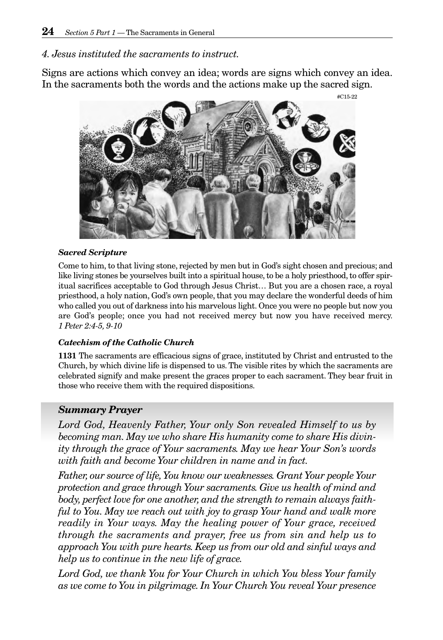# *4. Jesus instituted the sacraments to instruct.*

Signs are actions which convey an idea; words are signs which convey an idea. In the sacraments both the words and the actions make up the sacred sign.



#### *Sacred Scripture*

Come to him, to that living stone, rejected by men but in God's sight chosen and precious; and like living stones be yourselves built into a spiritual house, to be a holy priesthood, to offer spiritual sacrifices acceptable to God through Jesus Christ… But you are a chosen race, a royal priesthood, a holy nation, God's own people, that you may declare the wonderful deeds of him who called you out of darkness into his marvelous light. Once you were no people but now you are God's people; once you had not received mercy but now you have received mercy. *1 Peter 2:4-5, 9-10*

#### *Catechism of the Catholic Church*

**1131** The sacraments are efficacious signs of grace, instituted by Christ and entrusted to the Church, by which divine life is dispensed to us. The visible rites by which the sacraments are celebrated signify and make present the graces proper to each sacrament. They bear fruit in those who receive them with the required dispositions.

#### *Summary Prayer*

*Lord God, Heavenly Father, Your only Son revealed Himself to us by becoming man. May we who share His humanity come to share His divinity through the grace of Your sacraments. May we hear Your Son's words with faith and become Your children in name and in fact.*

*Father, our source of life,You know our weaknesses. Grant Your people Your protection and grace through Your sacraments. Give us health of mind and body, perfect love for one another, and the strength to remain always faithful to You. May we reach out with joy to grasp Your hand and walk more readily in Your ways. May the healing power of Your grace, received through the sacraments and prayer, free us from sin and help us to approach You with pure hearts. Keep us from our old and sinful ways and help us to continue in the new life of grace.*

*Lord God, we thank You for Your Church in which You bless Your family as we come to You in pilgrimage. In Your Church You reveal Your presence*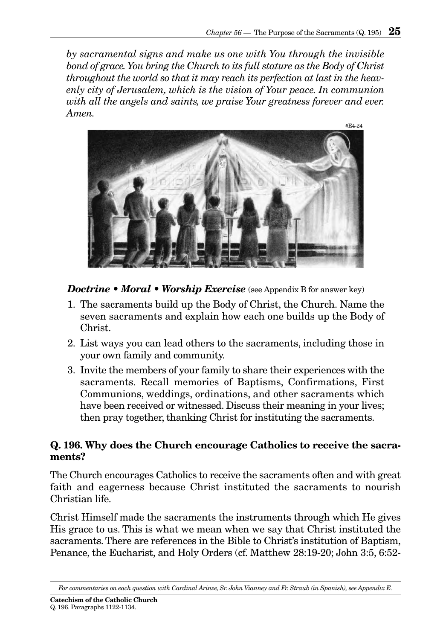*by sacramental signs and make us one with You through the invisible bond of grace.You bring the Church to its full stature as the Body of Christ throughout the world so that it may reach its perfection at last in the heavenly city of Jerusalem, which is the vision of Your peace. In communion with all the angels and saints, we praise Your greatness forever and ever. Amen.*



*Doctrine • Moral • Worship Exercise* (see Appendix B for answer key)

- 1. The sacraments build up the Body of Christ, the Church. Name the seven sacraments and explain how each one builds up the Body of Christ.
- 2. List ways you can lead others to the sacraments, including those in your own family and community.
- 3. Invite the members of your family to share their experiences with the sacraments. Recall memories of Baptisms, Confirmations, First Communions, weddings, ordinations, and other sacraments which have been received or witnessed. Discuss their meaning in your lives; then pray together, thanking Christ for instituting the sacraments.

# **Q. 196. Why does the Church encourage Catholics to receive the sacraments?**

The Church encourages Catholics to receive the sacraments often and with great faith and eagerness because Christ instituted the sacraments to nourish Christian life.

Christ Himself made the sacraments the instruments through which He gives His grace to us. This is what we mean when we say that Christ instituted the sacraments. There are references in the Bible to Christ's institution of Baptism, Penance, the Eucharist, and Holy Orders (cf. Matthew 28:19-20; John 3:5, 6:52-

**Catechism of the Catholic Church** Q. 196. Paragraphs 1122-1134.

*For commentaries on each question with Cardinal Arinze, Sr. John Vianney and Fr. Straub (in Spanish), see Appendix E.*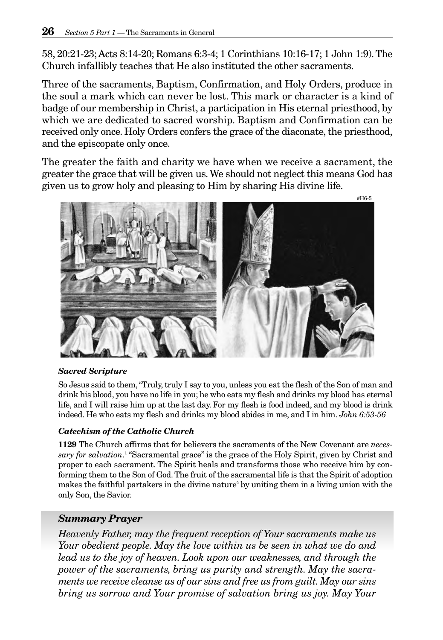58, 20:21-23;Acts 8:14-20; Romans 6:3-4; 1 Corinthians 10:16-17; 1 John 1:9).The Church infallibly teaches that He also instituted the other sacraments.

Three of the sacraments, Baptism, Confirmation, and Holy Orders, produce in the soul a mark which can never be lost. This mark or character is a kind of badge of our membership in Christ, a participation in His eternal priesthood, by which we are dedicated to sacred worship. Baptism and Confirmation can be received only once. Holy Orders confers the grace of the diaconate, the priesthood, and the episcopate only once.

The greater the faith and charity we have when we receive a sacrament, the greater the grace that will be given us.We should not neglect this means God has given us to grow holy and pleasing to Him by sharing His divine life.



#### *Sacred Scripture*

So Jesus said to them,"Truly, truly I say to you, unless you eat the flesh of the Son of man and drink his blood, you have no life in you; he who eats my flesh and drinks my blood has eternal life, and I will raise him up at the last day. For my flesh is food indeed, and my blood is drink indeed. He who eats my flesh and drinks my blood abides in me, and I in him. *John 6:53-56*

#### *Catechism of the Catholic Church*

**1129** The Church affirms that for believers the sacraments of the New Covenant are *necessary for salvation*. <sup>1</sup> "Sacramental grace" is the grace of the Holy Spirit, given by Christ and proper to each sacrament. The Spirit heals and transforms those who receive him by conforming them to the Son of God. The fruit of the sacramental life is that the Spirit of adoption makes the faithful partakers in the divine nature<sup>2</sup> by uniting them in a living union with the only Son, the Savior.

#### *Summary Prayer*

*Heavenly Father, may the frequent reception of Your sacraments make us Your obedient people. May the love within us be seen in what we do and lead us to the joy of heaven. Look upon our weaknesses, and through the power of the sacraments, bring us purity and strength. May the sacraments we receive cleanse us of our sins and free us from guilt. May our sins bring us sorrow and Your promise of salvation bring us joy. May Your*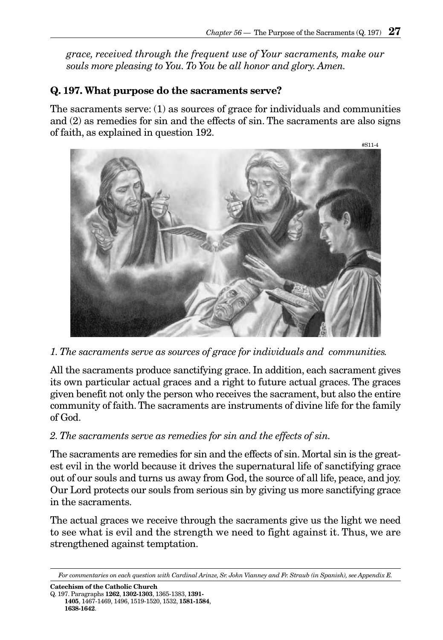*grace, received through the frequent use of Your sacraments, make our souls more pleasing to You. To You be all honor and glory. Amen.*

# **Q. 197. What purpose do the sacraments serve?**

The sacraments serve: (1) as sources of grace for individuals and communities and (2) as remedies for sin and the effects of sin. The sacraments are also signs of faith, as explained in question 192.



*1. The sacraments serve as sources of grace for individuals and communities.*

All the sacraments produce sanctifying grace. In addition, each sacrament gives its own particular actual graces and a right to future actual graces. The graces given benefit not only the person who receives the sacrament, but also the entire community of faith. The sacraments are instruments of divine life for the family of God.

# *2. The sacraments serve as remedies for sin and the effects of sin.*

The sacraments are remedies for sin and the effects of sin. Mortal sin is the greatest evil in the world because it drives the supernatural life of sanctifying grace out of our souls and turns us away from God, the source of all life, peace, and joy. Our Lord protects our souls from serious sin by giving us more sanctifying grace in the sacraments.

The actual graces we receive through the sacraments give us the light we need to see what is evil and the strength we need to fight against it. Thus, we are strengthened against temptation.

*For commentaries on each question with Cardinal Arinze, Sr. John Vianney and Fr. Straub (in Spanish), see Appendix E.*

**Catechism of the Catholic Church** Q. 197. Paragraphs **1262**, **1302-1303**, 1365-1383, **1391- 1405**, 1467-1469, 1496, 1519-1520, 1532, **1581-1584**, **1638-1642**.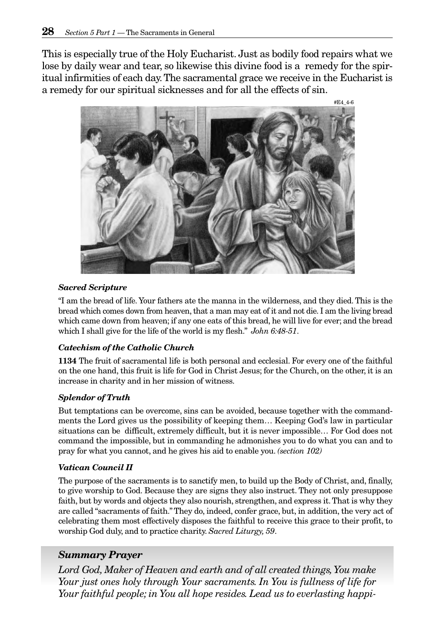This is especially true of the Holy Eucharist. Just as bodily food repairs what we lose by daily wear and tear, so likewise this divine food is a remedy for the spiritual infirmities of each day.The sacramental grace we receive in the Eucharist is a remedy for our spiritual sicknesses and for all the effects of sin.



#### *Sacred Scripture*

"I am the bread of life. Your fathers ate the manna in the wilderness, and they died. This is the bread which comes down from heaven, that a man may eat of it and not die. I am the living bread which came down from heaven; if any one eats of this bread, he will live for ever; and the bread which I shall give for the life of the world is my flesh." *John 6:48-51*.

#### *Catechism of the Catholic Church*

**1134** The fruit of sacramental life is both personal and ecclesial. For every one of the faithful on the one hand, this fruit is life for God in Christ Jesus; for the Church, on the other, it is an increase in charity and in her mission of witness.

#### *Splendor of Truth*

But temptations can be overcome, sins can be avoided, because together with the commandments the Lord gives us the possibility of keeping them… Keeping God's law in particular situations can be difficult, extremely difficult, but it is never impossible… For God does not command the impossible, but in commanding he admonishes you to do what you can and to pray for what you cannot, and he gives his aid to enable you. *(section 102)*

#### *Vatican Council II*

The purpose of the sacraments is to sanctify men, to build up the Body of Christ, and, finally, to give worship to God. Because they are signs they also instruct. They not only presuppose faith, but by words and objects they also nourish, strengthen, and express it. That is why they are called "sacraments of faith." They do, indeed, confer grace, but, in addition, the very act of celebrating them most effectively disposes the faithful to receive this grace to their profit, to worship God duly, and to practice charity. *Sacred Liturgy, 59*.

# *Summary Prayer*

Lord God, Maker of Heaven and earth and of all created things, You make *Your just ones holy through Your sacraments. In You is fullness of life for Your faithful people; in You all hope resides. Lead us to everlasting happi-*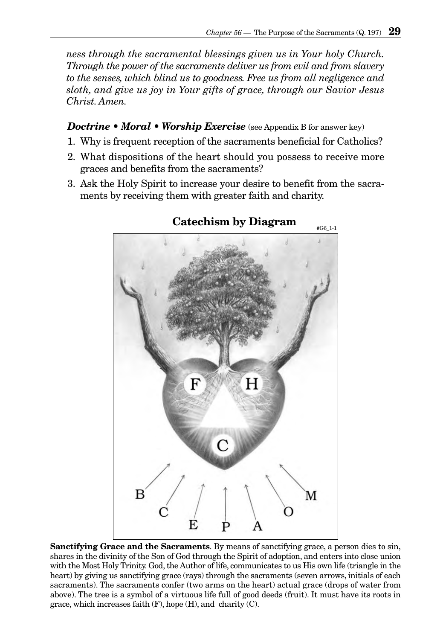*ness through the sacramental blessings given us in Your holy Church. Through the power of the sacraments deliver us from evil and from slavery to the senses, which blind us to goodness. Free us from all negligence and sloth, and give us joy in Your gifts of grace, through our Savior Jesus Christ. Amen.*

### *Doctrine • Moral • Worship Exercise* (see Appendix B for answer key)

- 1. Why is frequent reception of the sacraments beneficial for Catholics?
- 2. What dispositions of the heart should you possess to receive more graces and benefits from the sacraments?
- 3. Ask the Holy Spirit to increase your desire to benefit from the sacraments by receiving them with greater faith and charity.



# **Catechism by Diagram**

**Sanctifying Grace and the Sacraments**. By means of sanctifying grace, a person dies to sin, shares in the divinity of the Son of God through the Spirit of adoption, and enters into close union with the Most Holy Trinity. God, the Author of life, communicates to us His own life (triangle in the heart) by giving us sanctifying grace (rays) through the sacraments (seven arrows, initials of each sacraments). The sacraments confer (two arms on the heart) actual grace (drops of water from above). The tree is a symbol of a virtuous life full of good deeds (fruit). It must have its roots in grace, which increases faith  $(F)$ , hope  $(H)$ , and charity  $(C)$ .